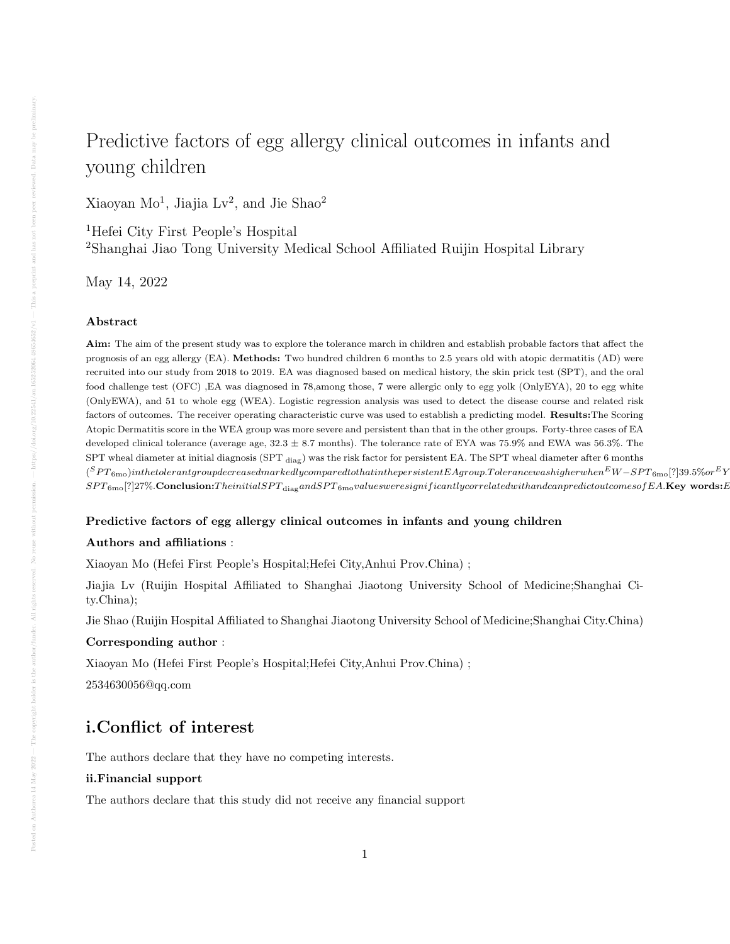# Predictive factors of egg allergy clinical outcomes in infants and young children

Xiaoyan Mo<sup>1</sup>, Jiajia Lv<sup>2</sup>, and Jie Shao<sup>2</sup>

<sup>1</sup>Hefei City First People's Hospital <sup>2</sup>Shanghai Jiao Tong University Medical School Affiliated Ruijin Hospital Library

May 14, 2022

#### Abstract

Aim: The aim of the present study was to explore the tolerance march in children and establish probable factors that affect the prognosis of an egg allergy (EA). Methods: Two hundred children 6 months to 2.5 years old with atopic dermatitis (AD) were recruited into our study from 2018 to 2019. EA was diagnosed based on medical history, the skin prick test (SPT), and the oral food challenge test (OFC) ,EA was diagnosed in 78,among those, 7 were allergic only to egg yolk (OnlyEYA), 20 to egg white (OnlyEWA), and 51 to whole egg (WEA). Logistic regression analysis was used to detect the disease course and related risk factors of outcomes. The receiver operating characteristic curve was used to establish a predicting model. Results:The Scoring Atopic Dermatitis score in the WEA group was more severe and persistent than that in the other groups. Forty-three cases of EA developed clinical tolerance (average age, 32.3 ± 8.7 months). The tolerance rate of EYA was 75.9% and EWA was 56.3%. The SPT wheal diameter at initial diagnosis (SPT diag) was the risk factor for persistent EA. The SPT wheal diameter after 6 months  $(^SPT_{6\rm mo})$ inthetolerantgroupdecreasedmarkedlycomparedtothatinthepersistentEAgroup.Tolerancewashigherwhen $^{EW}{-}SPT_{6\rm mo}[?)39.5\% or ^{EV}{}$  $SPT_{6\text{mo}}[?]27\%.$ Conclusion:Theinitial $SPT_{\text{diag}}$ and $SPT_{6\text{mo}}$ valuesweresignificantlycorrelatedwithandcanpredictoutcomesofEA.Key words:E

#### Predictive factors of egg allergy clinical outcomes in infants and young children

### Authors and affiliations :

Xiaoyan Mo (Hefei First People's Hospital;Hefei City,Anhui Prov.China) ;

Jiajia Lv (Ruijin Hospital Affiliated to Shanghai Jiaotong University School of Medicine;Shanghai City.China);

Jie Shao (Ruijin Hospital Affiliated to Shanghai Jiaotong University School of Medicine;Shanghai City.China)

# Corresponding author :

Xiaoyan Mo (Hefei First People's Hospital;Hefei City,Anhui Prov.China) ;

2534630056@qq.com

# i.Conflict of interest

The authors declare that they have no competing interests.

# ii.Financial support

The authors declare that this study did not receive any financial support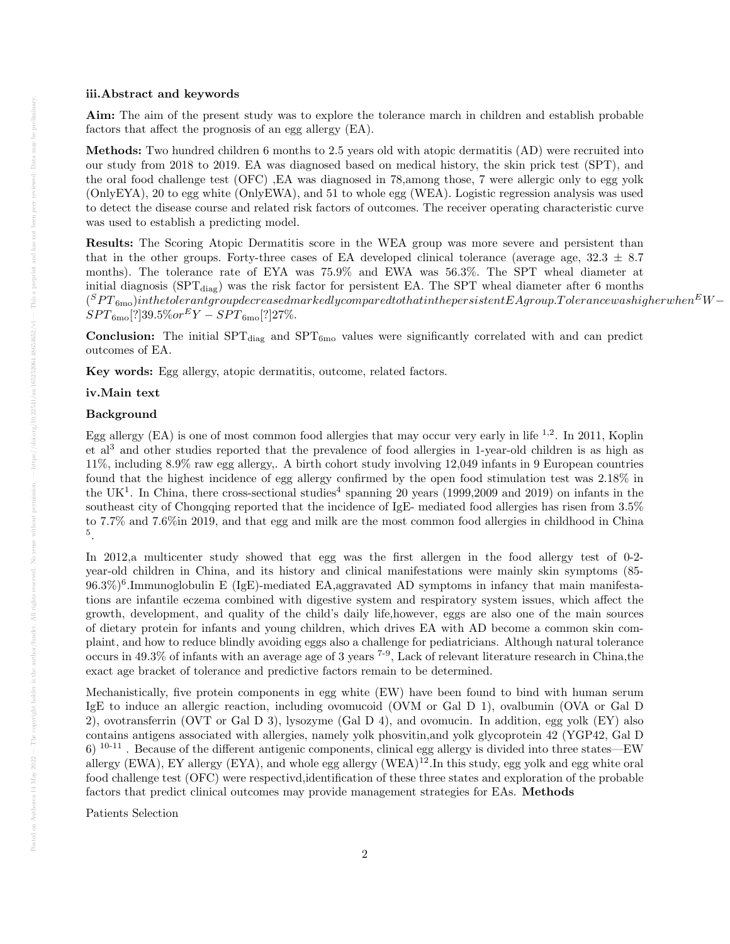#### iii.Abstract and keywords

Aim: The aim of the present study was to explore the tolerance march in children and establish probable factors that affect the prognosis of an egg allergy (EA).

Methods: Two hundred children 6 months to 2.5 years old with atopic dermatitis (AD) were recruited into our study from 2018 to 2019. EA was diagnosed based on medical history, the skin prick test (SPT), and the oral food challenge test (OFC) ,EA was diagnosed in 78,among those, 7 were allergic only to egg yolk (OnlyEYA), 20 to egg white (OnlyEWA), and 51 to whole egg (WEA). Logistic regression analysis was used to detect the disease course and related risk factors of outcomes. The receiver operating characteristic curve was used to establish a predicting model.

Results: The Scoring Atopic Dermatitis score in the WEA group was more severe and persistent than that in the other groups. Forty-three cases of EA developed clinical tolerance (average age,  $32.3 \pm 8.7$ ) months). The tolerance rate of EYA was 75.9% and EWA was 56.3%. The SPT wheal diameter at initial diagnosis ( $SPT_{diag}$ ) was the risk factor for persistent EA. The SPT wheal diameter after 6 months  $(^SPT_{6\rm{mo}}) in the tolerant group decreases dmarkedly compared to that in the persistent EAgroup. Tolerance was higher when \ ^EW-\ ^{2}$  $SPT_{6\text{mo}}[?]39.5\% or \,^EY - SPT_{6\text{mo}}[?]27\%.$ 

**Conclusion:** The initial  $SPT_{diag}$  and  $SPT_{6mo}$  values were significantly correlated with and can predict outcomes of EA.

Key words: Egg allergy, atopic dermatitis, outcome, related factors.

#### iv.Main text

#### Background

Egg allergy  $(EA)$  is one of most common food allergies that may occur very early in life  $^{1,2}$ . In 2011, Koplin et al<sup>3</sup> and other studies reported that the prevalence of food allergies in 1-year-old children is as high as 11%, including 8.9% raw egg allergy,. A birth cohort study involving 12,049 infants in 9 European countries found that the highest incidence of egg allergy confirmed by the open food stimulation test was 2.18% in the UK<sup>1</sup>. In China, there cross-sectional studies<sup>4</sup> spanning 20 years (1999,2009 and 2019) on infants in the southeast city of Chongqing reported that the incidence of IgE- mediated food allergies has risen from 3.5% to 7.7% and 7.6%in 2019, and that egg and milk are the most common food allergies in childhood in China 5 .

In 2012,a multicenter study showed that egg was the first allergen in the food allergy test of 0-2 year-old children in China, and its history and clinical manifestations were mainly skin symptoms (85- 96.3%)<sup>6</sup> .Immunoglobulin E (IgE)-mediated EA,aggravated AD symptoms in infancy that main manifestations are infantile eczema combined with digestive system and respiratory system issues, which affect the growth, development, and quality of the child's daily life,however, eggs are also one of the main sources of dietary protein for infants and young children, which drives EA with AD become a common skin complaint, and how to reduce blindly avoiding eggs also a challenge for pediatricians. Although natural tolerance occurs in 49.3% of infants with an average age of 3 years  $^{7-9}$ , Lack of relevant literature research in China,the exact age bracket of tolerance and predictive factors remain to be determined.

Mechanistically, five protein components in egg white (EW) have been found to bind with human serum IgE to induce an allergic reaction, including ovomucoid (OVM or Gal D 1), ovalbumin (OVA or Gal D 2), ovotransferrin (OVT or Gal D 3), lysozyme (Gal D 4), and ovomucin. In addition, egg yolk (EY) also contains antigens associated with allergies, namely yolk phosvitin,and yolk glycoprotein 42 (YGP42, Gal D  $6)$  <sup>10-11</sup>. Because of the different antigenic components, clinical egg allergy is divided into three states—EW allergy (EWA), EY allergy (EYA), and whole egg allergy  $(WEA)^{12}$ . In this study, egg yolk and egg white oral food challenge test (OFC) were respectivd,identification of these three states and exploration of the probable factors that predict clinical outcomes may provide management strategies for EAs. Methods

Patients Selection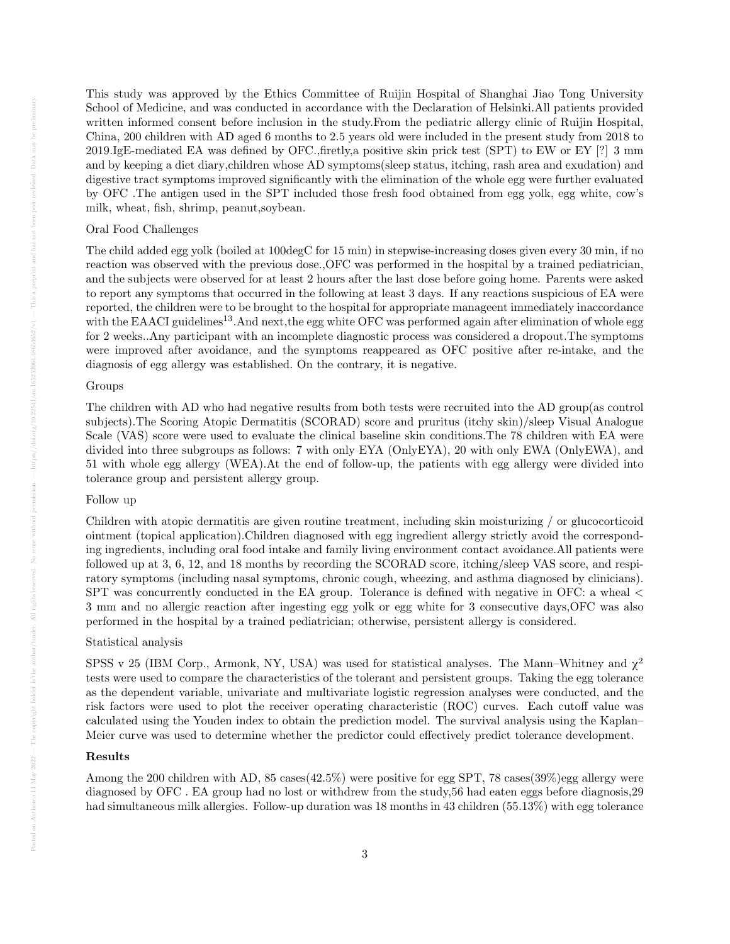This study was approved by the Ethics Committee of Ruijin Hospital of Shanghai Jiao Tong University School of Medicine, and was conducted in accordance with the Declaration of Helsinki.All patients provided written informed consent before inclusion in the study.From the pediatric allergy clinic of Ruijin Hospital, China, 200 children with AD aged 6 months to 2.5 years old were included in the present study from 2018 to 2019.IgE-mediated EA was defined by OFC.,firetly,a positive skin prick test (SPT) to EW or EY [?] 3 mm and by keeping a diet diary,children whose AD symptoms(sleep status, itching, rash area and exudation) and digestive tract symptoms improved significantly with the elimination of the whole egg were further evaluated by OFC .The antigen used in the SPT included those fresh food obtained from egg yolk, egg white, cow's milk, wheat, fish, shrimp, peanut,soybean.

#### Oral Food Challenges

The child added egg yolk (boiled at 100degC for 15 min) in stepwise-increasing doses given every 30 min, if no reaction was observed with the previous dose.,OFC was performed in the hospital by a trained pediatrician, and the subjects were observed for at least 2 hours after the last dose before going home. Parents were asked to report any symptoms that occurred in the following at least 3 days. If any reactions suspicious of EA were reported, the children were to be brought to the hospital for appropriate manageent immediately inaccordance with the EAACI guidelines<sup>13</sup>. And next, the egg white OFC was performed again after elimination of whole egg for 2 weeks..Any participant with an incomplete diagnostic process was considered a dropout.The symptoms were improved after avoidance, and the symptoms reappeared as OFC positive after re-intake, and the diagnosis of egg allergy was established. On the contrary, it is negative.

#### Groups

The children with AD who had negative results from both tests were recruited into the AD group(as control subjects).The Scoring Atopic Dermatitis (SCORAD) score and pruritus (itchy skin)/sleep Visual Analogue Scale (VAS) score were used to evaluate the clinical baseline skin conditions.The 78 children with EA were divided into three subgroups as follows: 7 with only EYA (OnlyEYA), 20 with only EWA (OnlyEWA), and 51 with whole egg allergy (WEA).At the end of follow-up, the patients with egg allergy were divided into tolerance group and persistent allergy group.

#### Follow up

Children with atopic dermatitis are given routine treatment, including skin moisturizing / or glucocorticoid ointment (topical application).Children diagnosed with egg ingredient allergy strictly avoid the corresponding ingredients, including oral food intake and family living environment contact avoidance.All patients were followed up at 3, 6, 12, and 18 months by recording the SCORAD score, itching/sleep VAS score, and respiratory symptoms (including nasal symptoms, chronic cough, wheezing, and asthma diagnosed by clinicians). SPT was concurrently conducted in the EA group. Tolerance is defined with negative in OFC: a wheal < 3 mm and no allergic reaction after ingesting egg yolk or egg white for 3 consecutive days,OFC was also performed in the hospital by a trained pediatrician; otherwise, persistent allergy is considered.

#### Statistical analysis

SPSS v 25 (IBM Corp., Armonk, NY, USA) was used for statistical analyses. The Mann–Whitney and  $\chi^2$ tests were used to compare the characteristics of the tolerant and persistent groups. Taking the egg tolerance as the dependent variable, univariate and multivariate logistic regression analyses were conducted, and the risk factors were used to plot the receiver operating characteristic (ROC) curves. Each cutoff value was calculated using the Youden index to obtain the prediction model. The survival analysis using the Kaplan– Meier curve was used to determine whether the predictor could effectively predict tolerance development.

#### Results

Among the 200 children with AD, 85 cases(42.5%) were positive for egg SPT, 78 cases(39%)egg allergy were diagnosed by OFC . EA group had no lost or withdrew from the study,56 had eaten eggs before diagnosis,29 had simultaneous milk allergies. Follow-up duration was 18 months in 43 children (55.13%) with egg tolerance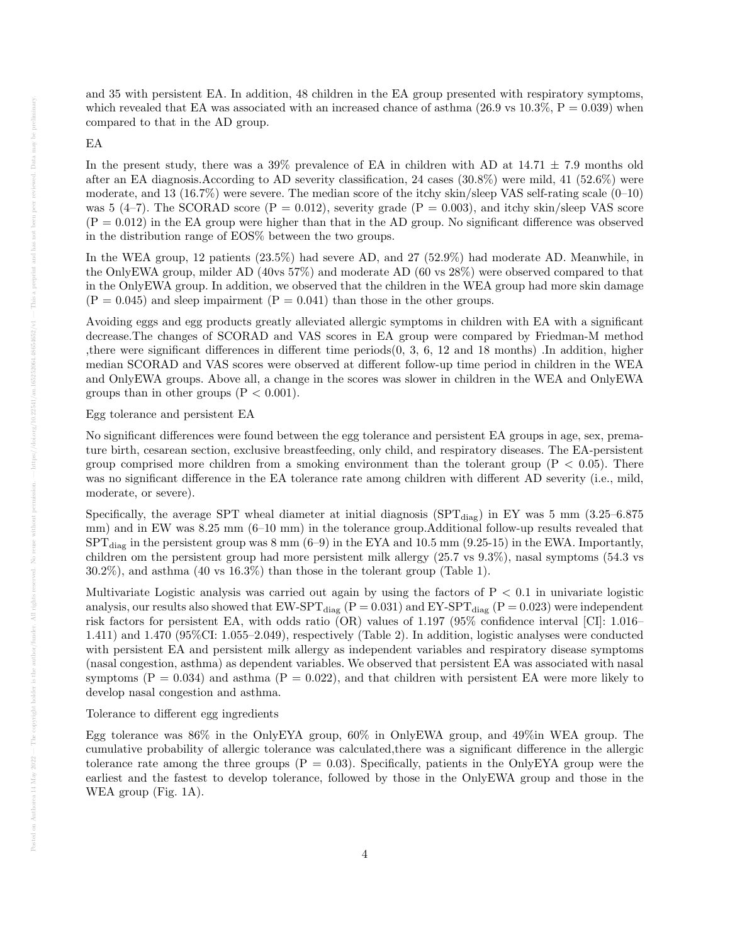and 35 with persistent EA. In addition, 48 children in the EA group presented with respiratory symptoms, which revealed that EA was associated with an increased chance of asthma  $(26.9 \text{ vs } 10.3\%, P = 0.039)$  when compared to that in the AD group.

#### EA

In the present study, there was a  $39\%$  prevalence of EA in children with AD at  $14.71 \pm 7.9$  months old after an EA diagnosis.According to AD severity classification, 24 cases (30.8%) were mild, 41 (52.6%) were moderate, and 13 (16.7%) were severe. The median score of the itchy skin/sleep VAS self-rating scale  $(0-10)$ was 5 (4–7). The SCORAD score ( $P = 0.012$ ), severity grade ( $P = 0.003$ ), and itchy skin/sleep VAS score  $(P = 0.012)$  in the EA group were higher than that in the AD group. No significant difference was observed in the distribution range of EOS% between the two groups.

In the WEA group, 12 patients (23.5%) had severe AD, and 27 (52.9%) had moderate AD. Meanwhile, in the OnlyEWA group, milder AD (40vs 57%) and moderate AD (60 vs 28%) were observed compared to that in the OnlyEWA group. In addition, we observed that the children in the WEA group had more skin damage  $(P = 0.045)$  and sleep impairment  $(P = 0.041)$  than those in the other groups.

Avoiding eggs and egg products greatly alleviated allergic symptoms in children with EA with a significant decrease.The changes of SCORAD and VAS scores in EA group were compared by Friedman-M method ,there were significant differences in different time periods(0, 3, 6, 12 and 18 months) .In addition, higher median SCORAD and VAS scores were observed at different follow-up time period in children in the WEA and OnlyEWA groups. Above all, a change in the scores was slower in children in the WEA and OnlyEWA groups than in other groups  $(P < 0.001)$ .

Egg tolerance and persistent EA

No significant differences were found between the egg tolerance and persistent EA groups in age, sex, premature birth, cesarean section, exclusive breastfeeding, only child, and respiratory diseases. The EA-persistent group comprised more children from a smoking environment than the tolerant group  $(P < 0.05)$ . There was no significant difference in the EA tolerance rate among children with different AD severity (i.e., mild, moderate, or severe).

Specifically, the average SPT wheal diameter at initial diagnosis (SPT $_{\text{diag}}$ ) in EY was 5 mm (3.25–6.875 mm) and in EW was 8.25 mm (6–10 mm) in the tolerance group.Additional follow-up results revealed that  $SPT_{\text{diag}}$  in the persistent group was 8 mm (6–9) in the EYA and 10.5 mm (9.25-15) in the EWA. Importantly, children om the persistent group had more persistent milk allergy (25.7 vs 9.3%), nasal symptoms (54.3 vs 30.2%), and asthma (40 vs 16.3%) than those in the tolerant group (Table 1).

Multivariate Logistic analysis was carried out again by using the factors of  $P < 0.1$  in univariate logistic analysis, our results also showed that  $EW\text{-}SPT_{\text{diag}}$  (P = 0.031) and  $EV\text{-}SPT_{\text{diag}}$  (P = 0.023) were independent risk factors for persistent EA, with odds ratio (OR) values of 1.197 (95% confidence interval [CI]: 1.016– 1.411) and 1.470 (95%CI: 1.055–2.049), respectively (Table 2). In addition, logistic analyses were conducted with persistent EA and persistent milk allergy as independent variables and respiratory disease symptoms (nasal congestion, asthma) as dependent variables. We observed that persistent EA was associated with nasal symptoms  $(P = 0.034)$  and asthma  $(P = 0.022)$ , and that children with persistent EA were more likely to develop nasal congestion and asthma.

#### Tolerance to different egg ingredients

Egg tolerance was 86% in the OnlyEYA group, 60% in OnlyEWA group, and 49%in WEA group. The cumulative probability of allergic tolerance was calculated,there was a significant difference in the allergic tolerance rate among the three groups  $(P = 0.03)$ . Specifically, patients in the OnlyEYA group were the earliest and the fastest to develop tolerance, followed by those in the OnlyEWA group and those in the WEA group (Fig. 1A).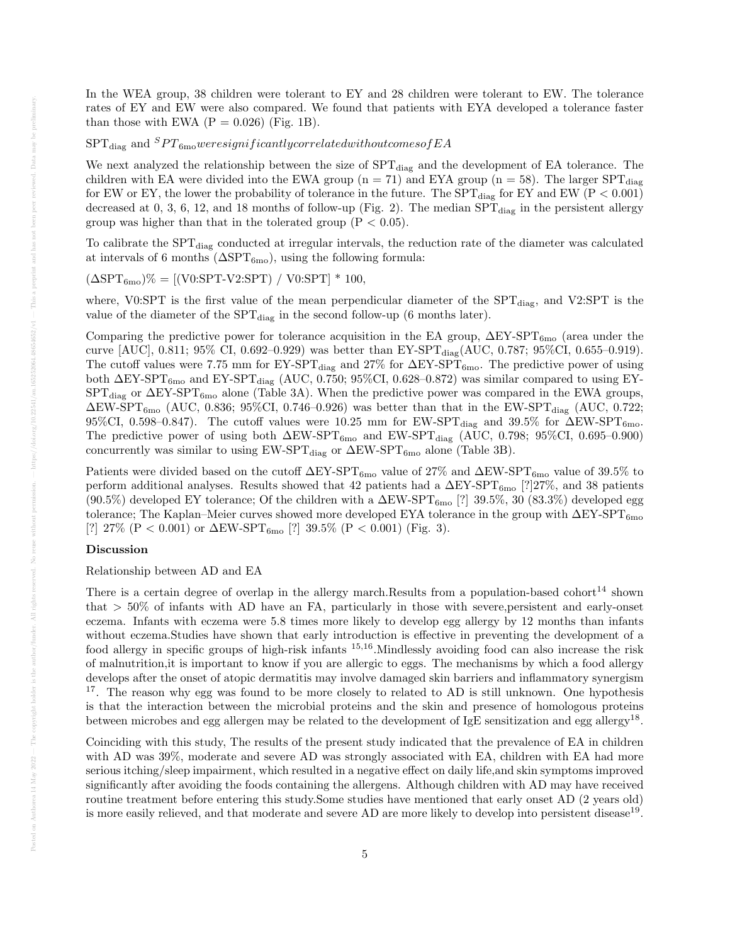In the WEA group, 38 children were tolerant to EY and 28 children were tolerant to EW. The tolerance rates of EY and EW were also compared. We found that patients with EYA developed a tolerance faster than those with EWA  $(P = 0.026)$  (Fig. 1B).

# $SPT_{diag}$  and  $SPT_{6mo}$  *weresignificantly correlated withoutcomes of EA*

We next analyzed the relationship between the size of  $SPT_{diag}$  and the development of EA tolerance. The children with EA were divided into the EWA group ( $n = 71$ ) and EYA group ( $n = 58$ ). The larger SPT<sub>diag</sub> for EW or EY, the lower the probability of tolerance in the future. The  $SPT_{\text{diag}}$  for EY and EW (P < 0.001) decreased at 0, 3, 6, 12, and 18 months of follow-up (Fig. 2). The median  $SPT_{\text{diag}}$  in the persistent allergy group was higher than that in the tolerated group  $(P < 0.05)$ .

To calibrate the SPT<sub>diag</sub> conducted at irregular intervals, the reduction rate of the diameter was calculated at intervals of 6 months ( $\Delta SPT_{6mo}$ ), using the following formula:

 $(\Delta SPT_{6mo})\% = [(V0:SPT-V2:SPT) / V0:SPT] * 100,$ 

where, V0:SPT is the first value of the mean perpendicular diameter of the  $SPT_{diag}$ , and V2:SPT is the value of the diameter of the  $SPT_{\text{diag}}$  in the second follow-up (6 months later).

Comparing the predictive power for tolerance acquisition in the EA group,  $\Delta EY-SPT_{6mo}$  (area under the curve [AUC], 0.811; 95% CI, 0.692–0.929) was better than  $EY-SPT_{diag}(AUC, 0.787; 95\%CI, 0.655–0.919)$ . The cutoff values were 7.75 mm for  $EY-<sub>5</sub>PT<sub>diag</sub>$  and 27% for  $\Delta EY-<sub>5</sub>PT<sub>6</sub>$  The predictive power of using both  $\Delta EY-SPT_{6mo}$  and  $EY-SPT_{diag}$  (AUC, 0.750; 95%CI, 0.628–0.872) was similar compared to using EY- $SPT_{\text{diag}}$  or  $\Delta EY-SPT_{\text{6mo}}$  alone (Table 3A). When the predictive power was compared in the EWA groups,  $\Delta$ EW-SPT<sub>6mo</sub> (AUC, 0.836; 95%CI, 0.746–0.926) was better than that in the EW-SPT<sub>diag</sub> (AUC, 0.722; 95%CI, 0.598–0.847). The cutoff values were 10.25 mm for  $EW\text{-}SPT_{\text{diag}}$  and 39.5% for  $\Delta EW\text{-}SPT_{\text{6mo}}$ . The predictive power of using both  $\Delta EW-SPT_{6mo}$  and  $EW-SPT_{diag}$  (AUC, 0.798; 95%CI, 0.695–0.900) concurrently was similar to using  $EW\text{-}SPT_{\text{diag}}$  or  $\Delta EW\text{-}SPT_{\text{6mo}}$  alone (Table 3B).

Patients were divided based on the cutoff  $\Delta EY-SPT_{6\text{mo}}$  value of 27% and  $\Delta EW-SPT_{6\text{mo}}$  value of 39.5% to perform additional analyses. Results showed that 42 patients had a  $\Delta EY-SPT_{6m0}$  [?]27%, and 38 patients  $(90.5\%)$  developed EY tolerance; Of the children with a  $\Delta$ EW-SPT<sub>6mo</sub> [?] 39.5%, 30 (83.3%) developed egg tolerance; The Kaplan–Meier curves showed more developed EYA tolerance in the group with  $\Delta EY-SPT_{6mo}$ [?] 27% (P < 0.001) or  $\Delta$ EW-SPT<sub>6mo</sub> [?] 39.5% (P < 0.001) (Fig. 3).

# Discussion

Relationship between AD and EA

There is a certain degree of overlap in the allergy march.Results from a population-based cohort<sup>14</sup> shown that  $> 50\%$  of infants with AD have an FA, particularly in those with severe, persistent and early-onset eczema. Infants with eczema were 5.8 times more likely to develop egg allergy by 12 months than infants without eczema.Studies have shown that early introduction is effective in preventing the development of a food allergy in specific groups of high-risk infants 15,16.Mindlessly avoiding food can also increase the risk of malnutrition,it is important to know if you are allergic to eggs. The mechanisms by which a food allergy develops after the onset of atopic dermatitis may involve damaged skin barriers and inflammatory synergism <sup>17</sup>. The reason why egg was found to be more closely to related to AD is still unknown. One hypothesis is that the interaction between the microbial proteins and the skin and presence of homologous proteins between microbes and egg allergen may be related to the development of IgE sensitization and egg allergy<sup>18</sup>.

Coinciding with this study, The results of the present study indicated that the prevalence of EA in children with AD was 39%, moderate and severe AD was strongly associated with EA, children with EA had more serious itching/sleep impairment, which resulted in a negative effect on daily life,and skin symptoms improved significantly after avoiding the foods containing the allergens. Although children with AD may have received routine treatment before entering this study.Some studies have mentioned that early onset AD (2 years old) is more easily relieved, and that moderate and severe AD are more likely to develop into persistent disease<sup>19</sup>.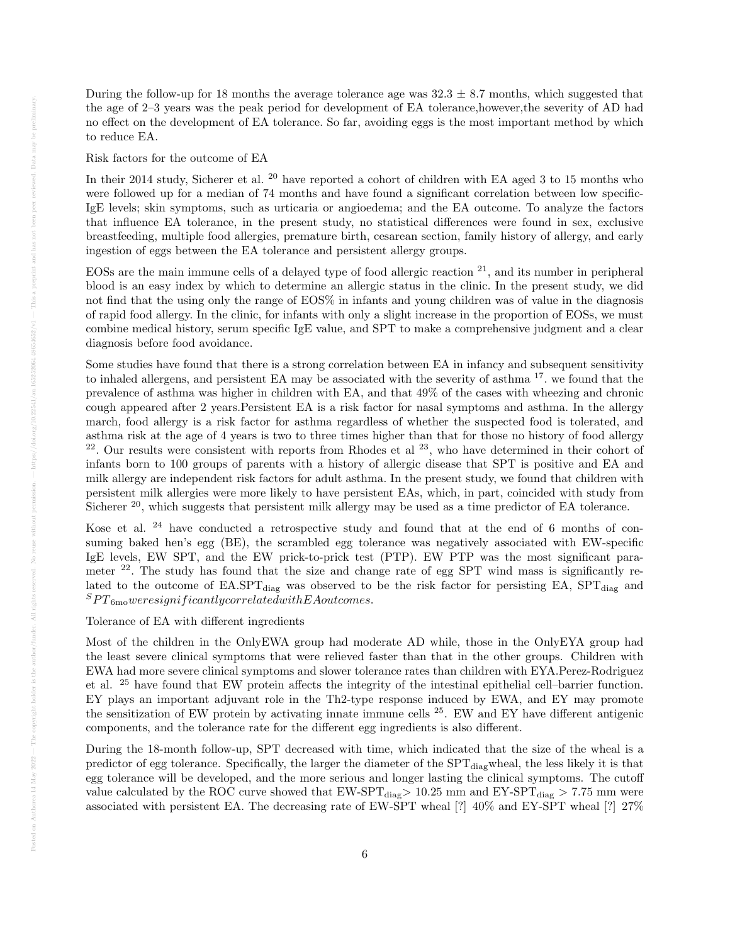During the follow-up for 18 months the average tolerance age was  $32.3 \pm 8.7$  months, which suggested that the age of 2–3 years was the peak period for development of EA tolerance,however,the severity of AD had no effect on the development of EA tolerance. So far, avoiding eggs is the most important method by which to reduce EA.

Risk factors for the outcome of EA

In their 2014 study, Sicherer et al. <sup>20</sup> have reported a cohort of children with EA aged 3 to 15 months who were followed up for a median of 74 months and have found a significant correlation between low specific-IgE levels; skin symptoms, such as urticaria or angioedema; and the EA outcome. To analyze the factors that influence EA tolerance, in the present study, no statistical differences were found in sex, exclusive breastfeeding, multiple food allergies, premature birth, cesarean section, family history of allergy, and early ingestion of eggs between the EA tolerance and persistent allergy groups.

EOSs are the main immune cells of a delayed type of food allergic reaction  $21$ , and its number in peripheral blood is an easy index by which to determine an allergic status in the clinic. In the present study, we did not find that the using only the range of EOS% in infants and young children was of value in the diagnosis of rapid food allergy. In the clinic, for infants with only a slight increase in the proportion of EOSs, we must combine medical history, serum specific IgE value, and SPT to make a comprehensive judgment and a clear diagnosis before food avoidance.

Some studies have found that there is a strong correlation between EA in infancy and subsequent sensitivity to inhaled allergens, and persistent EA may be associated with the severity of asthma <sup>17</sup>. we found that the prevalence of asthma was higher in children with EA, and that 49% of the cases with wheezing and chronic cough appeared after 2 years.Persistent EA is a risk factor for nasal symptoms and asthma. In the allergy march, food allergy is a risk factor for asthma regardless of whether the suspected food is tolerated, and asthma risk at the age of 4 years is two to three times higher than that for those no history of food allergy  $22$ . Our results were consistent with reports from Rhodes et al  $23$ , who have determined in their cohort of infants born to 100 groups of parents with a history of allergic disease that SPT is positive and EA and milk allergy are independent risk factors for adult asthma. In the present study, we found that children with persistent milk allergies were more likely to have persistent EAs, which, in part, coincided with study from Sicherer  $^{20}$ , which suggests that persistent milk allergy may be used as a time predictor of EA tolerance.

Kose et al. <sup>24</sup> have conducted a retrospective study and found that at the end of 6 months of consuming baked hen's egg (BE), the scrambled egg tolerance was negatively associated with EW-specific IgE levels, EW SPT, and the EW prick-to-prick test (PTP). EW PTP was the most significant parameter <sup>22</sup>. The study has found that the size and change rate of egg SPT wind mass is significantly related to the outcome of  $E A. SPT_{diag}$  was observed to be the risk factor for persisting EA,  $SPT_{diag}$  and  $SPT_{6\text{mo}} were significantly correlated with EA outcomes.$ 

Tolerance of EA with different ingredients

Most of the children in the OnlyEWA group had moderate AD while, those in the OnlyEYA group had the least severe clinical symptoms that were relieved faster than that in the other groups. Children with EWA had more severe clinical symptoms and slower tolerance rates than children with EYA.Perez-Rodriguez et al. <sup>25</sup> have found that EW protein affects the integrity of the intestinal epithelial cell–barrier function. EY plays an important adjuvant role in the Th2-type response induced by EWA, and EY may promote the sensitization of EW protein by activating innate immune cells <sup>25</sup>. EW and EY have different antigenic components, and the tolerance rate for the different egg ingredients is also different.

During the 18-month follow-up, SPT decreased with time, which indicated that the size of the wheal is a predictor of egg tolerance. Specifically, the larger the diameter of the SPT<sub>diag</sub>wheal, the less likely it is that egg tolerance will be developed, and the more serious and longer lasting the clinical symptoms. The cutoff value calculated by the ROC curve showed that  $EW\text{-}SPT_{\text{diag}} > 10.25$  mm and  $EY\text{-}SPT_{\text{diag}} > 7.75$  mm were associated with persistent EA. The decreasing rate of EW-SPT wheal [?] 40% and EY-SPT wheal [?] 27%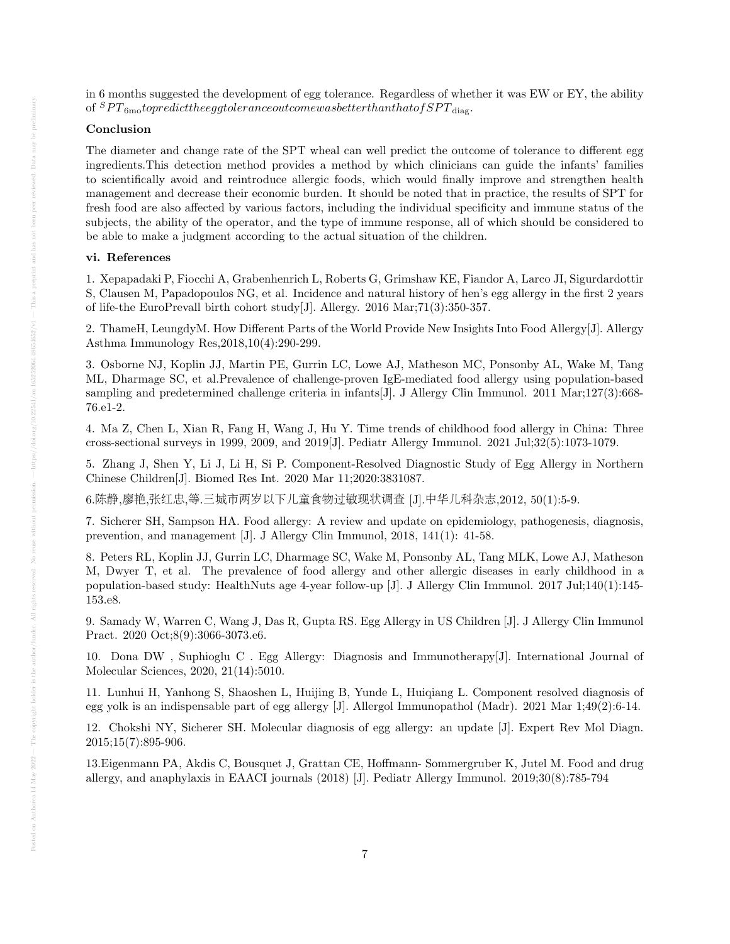in 6 months suggested the development of egg tolerance. Regardless of whether it was EW or EY, the ability of  ${}^SPT_{6m}$  to predict the egg to learnce outcome was better than that of  $SPT_{\text{diag}}$ .

# Conclusion

The diameter and change rate of the SPT wheal can well predict the outcome of tolerance to different egg ingredients.This detection method provides a method by which clinicians can guide the infants' families to scientifically avoid and reintroduce allergic foods, which would finally improve and strengthen health management and decrease their economic burden. It should be noted that in practice, the results of SPT for fresh food are also affected by various factors, including the individual specificity and immune status of the subjects, the ability of the operator, and the type of immune response, all of which should be considered to be able to make a judgment according to the actual situation of the children.

#### vi. References

1. Xepapadaki P, Fiocchi A, Grabenhenrich L, Roberts G, Grimshaw KE, Fiandor A, Larco JI, Sigurdardottir S, Clausen M, Papadopoulos NG, et al. Incidence and natural history of hen's egg allergy in the first 2 years of life-the EuroPrevall birth cohort study[J]. Allergy. 2016 Mar;71(3):350-357.

2. ThameH, LeungdyM. How Different Parts of the World Provide New Insights Into Food Allergy[J]. Allergy Asthma Immunology Res,2018,10(4):290-299.

3. Osborne NJ, Koplin JJ, Martin PE, Gurrin LC, Lowe AJ, Matheson MC, Ponsonby AL, Wake M, Tang ML, Dharmage SC, et al.Prevalence of challenge-proven IgE-mediated food allergy using population-based sampling and predetermined challenge criteria in infants[J]. J Allergy Clin Immunol. 2011 Mar;127(3):668-76.e1-2.

4. Ma Z, Chen L, Xian R, Fang H, Wang J, Hu Y. Time trends of childhood food allergy in China: Three cross-sectional surveys in 1999, 2009, and 2019[J]. Pediatr Allergy Immunol. 2021 Jul;32(5):1073-1079.

5. Zhang J, Shen Y, Li J, Li H, Si P. Component-Resolved Diagnostic Study of Egg Allergy in Northern Chinese Children[J]. Biomed Res Int. 2020 Mar 11;2020:3831087.

6.陈静,廖艳,张红忠,等.三城市两岁以下儿童食物过敏现状调<sup>查</sup> [J].中华儿科杂志,2012, 50(1):5-9.

7. Sicherer SH, Sampson HA. Food allergy: A review and update on epidemiology, pathogenesis, diagnosis, prevention, and management [J]. J Allergy Clin Immunol, 2018, 141(1): 41-58.

8. Peters RL, Koplin JJ, Gurrin LC, Dharmage SC, Wake M, Ponsonby AL, Tang MLK, Lowe AJ, Matheson M, Dwyer T, et al. The prevalence of food allergy and other allergic diseases in early childhood in a population-based study: HealthNuts age 4-year follow-up [J]. J Allergy Clin Immunol. 2017 Jul;140(1):145- 153.e8.

9. Samady W, Warren C, Wang J, Das R, Gupta RS. Egg Allergy in US Children [J]. J Allergy Clin Immunol Pract. 2020 Oct;8(9):3066-3073.e6.

10. Dona DW , Suphioglu C . Egg Allergy: Diagnosis and Immunotherapy[J]. International Journal of Molecular Sciences, 2020, 21(14):5010.

11. Lunhui H, Yanhong S, Shaoshen L, Huijing B, Yunde L, Huiqiang L. Component resolved diagnosis of egg yolk is an indispensable part of egg allergy [J]. Allergol Immunopathol (Madr). 2021 Mar 1;49(2):6-14.

12. Chokshi NY, Sicherer SH. Molecular diagnosis of egg allergy: an update [J]. Expert Rev Mol Diagn. 2015;15(7):895-906.

13.Eigenmann PA, Akdis C, Bousquet J, Grattan CE, Hoffmann- Sommergruber K, Jutel M. Food and drug allergy, and anaphylaxis in EAACI journals (2018) [J]. Pediatr Allergy Immunol. 2019;30(8):785-794